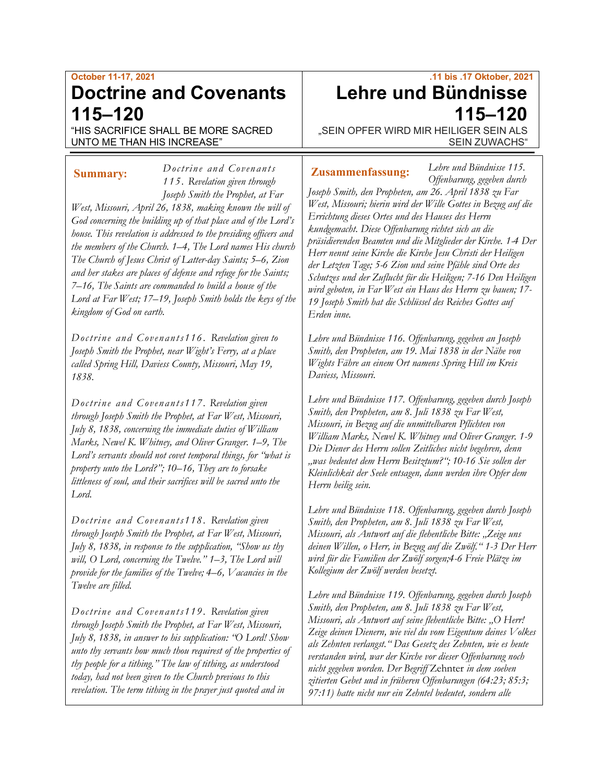# **October 11-17, 2021 Doctrine and Covenants 115–120**

"HIS SACRIFICE SHALL BE MORE SACRED UNTO ME THAN HIS INCREASE"

*1 15 . Revelation given through Joseph Smith the Prophet, at Far West, Missouri, April 26, 1838, making known the will of God concerning the building up of that place and of the Lord's house. This revelation is addressed to the presiding officers and the members of the Church. 1–4, The Lord names His church The Church of Jesus Christ of Latter-day Saints; 5–6, Zion and her stakes are places of defense and refuge for the Saints; 7–16, The Saints are commanded to build a house of the Lord at Far West; 17–19, Joseph Smith holds the keys of the kingdom of God on earth.* **Summary: Zusammenfassung:**

*Doctrine and Covenants* 

*Doctrine and Covenants116. Revelation given to Joseph Smith the Prophet, near Wight's Ferry, at a place called Spring Hill, Daviess County, Missouri, May 19, 1838.* 

*Doctrine and Coven ants117. Revelation given through Joseph Smith the Prophet, at Far West, Missouri, July 8, 1838, concerning the immediate duties of William Marks, Newel K. Whitney, and Oliver Granger. 1–9, The Lord's servants should not covet temporal things, for "what is property unto the Lord?"; 10–16, They are to forsake littleness of soul, and their sacrifices will be sacred unto the Lord.*

*Doctrine and Covenants118. Revelation given through Joseph Smith the Prophet, at Far West, Missouri, July 8, 1838, in response to the supplication, "Show us thy will, O Lord, concerning the Twelve." 1–3, The Lord will provide for the families of the Twelve; 4–6, Vacancies in the Twelve are filled.*

*Doctrine and Covenants119. Revelation given through Joseph Smith the Prophet, at Far West, Missouri, July 8, 1838, in answer to his supplication: "O Lord! Show unto thy servants how much thou requirest of the properties of thy people for a tithing." The law of tithing, as understood today, had not been given to the Church previous to this revelation. The term tithing in the prayer just quoted and in* 

# **.11 bis .17 Oktober, 2021 Lehre und Bündnisse 115–120**

*Lehre und Bündnisse 115.*

"SEIN OPFER WIRD MIR HEILIGER SEIN ALS SEIN ZUWACHS"

*Offenbarung, gegeben durch Joseph Smith, den Propheten, am 26. April 1838 zu Far West, Missouri; hierin wird der Wille Gottes in Bezug auf die Errichtung dieses Ortes und des Hauses des Herrn kundgemacht. Diese Offenbarung richtet sich an die präsidierenden Beamten und die Mitglieder der Kirche. 1-4 Der Herr nennt seine Kirche die Kirche Jesu Christi der Heiligen der Letzten Tage; 5-6 Zion und seine Pfähle sind Orte des Schutzes und der Zuflucht für die Heiligen; 7-16 Den Heiligen wird geboten, in Far West ein Haus des Herrn zu bauen; 17- 19 Joseph Smith hat die Schlüssel des Reiches Gottes auf Erden inne.*

*Lehre und Bündnisse 116. Offenbarung, gegeben an Joseph Smith, den Propheten, am 19. Mai 1838 in der Nähe von Wights Fähre an einem Ort namens Spring Hill im Kreis Daviess, Missouri.*

*Lehre und Bündnisse 117. Offenbarung, gegeben durch Joseph Smith, den Propheten, am 8. Juli 1838 zu Far West, Missouri, in Bezug auf die unmittelbaren Pflichten von William Marks, Newel K. Whitney und Oliver Granger. 1-9 Die Diener des Herrn sollen Zeitliches nicht begehren, denn "was bedeutet dem Herrn Besitztum?"; 10-16 Sie sollen der Kleinlichkeit der Seele entsagen, dann werden ihre Opfer dem Herrn heilig sein.*

*Lehre und Bündnisse 118. Offenbarung, gegeben durch Joseph Smith, den Propheten, am 8. Juli 1838 zu Far West, Missouri, als Antwort auf die flehentliche Bitte: "Zeige uns deinen Willen, o Herr, in Bezug auf die Zwölf." 1-3 Der Herr wird für die Familien der Zwölf sorgen;4-6 Freie Plätze im Kollegium der Zwölf werden besetzt.*

*Lehre und Bündnisse 119. Offenbarung, gegeben durch Joseph Smith, den Propheten, am 8. Juli 1838 zu Far West, Missouri, als Antwort auf seine flehentliche Bitte: "O Herr! Zeige deinen Dienern, wie viel du vom Eigentum deines Volkes als Zehnten verlangst." Das Gesetz des Zehnten, wie es heute verstanden wird, war der Kirche vor dieser Offenbarung noch nicht gegeben worden. Der Begriff* Zehnter *in dem soeben zitierten Gebet und in früheren Offenbarungen (64:23; 85:3; 97:11) hatte nicht nur ein Zehntel bedeutet, sondern alle*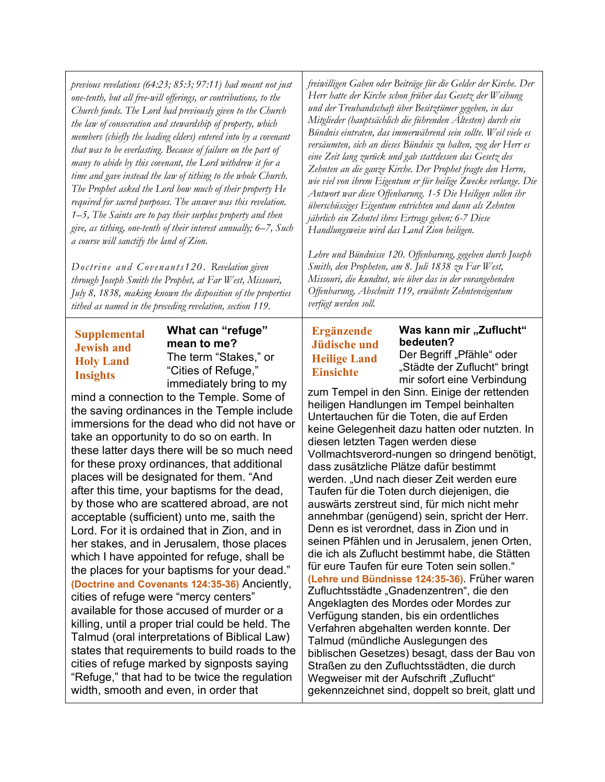*previous revelations (64:23; 85:3; 97:11) had meant not just one-tenth, but all free-will offerings, or contributions, to the Church funds. The Lord had previously given to the Church the law of consecration and stewardship of property, which members (chiefly the leading elders) entered into by a covenant that was to be everlasting. Because of failure on the part of many to abide by this covenant, the Lord withdrew it for a time and gave instead the law of tithing to the whole Church. The Prophet asked the Lord how much of their property He required for sacred purposes. The answer was this revelation. 1–5, The Saints are to pay their surplus property and then give, as tithing, one-tenth of their interest annually; 6–7, Such a course will sanctify the land of Zion.*

*Doctrine and Covenants120. Revelation given through Joseph Smith the Prophet, at Far West, Missouri, July 8, 1838, making known the disposition of the properties tithed as named in the preceding revelation, section 119.*

### **Supplemental Jewish and Holy Land Insights**

**What can "refuge" mean to me?** The term "Stakes," or "Cities of Refuge," immediately bring to my

mind a connection to the Temple. Some of the saving ordinances in the Temple include immersions for the dead who did not have or take an opportunity to do so on earth. In these latter days there will be so much need for these proxy ordinances, that additional places will be designated for them. "And after this time, your baptisms for the dead, by those who are scattered abroad, are not acceptable (sufficient) unto me, saith the Lord. For it is ordained that in Zion, and in her stakes, and in Jerusalem, those places which I have appointed for refuge, shall be the places for your baptisms for your dead." **(Doctrine and Covenants 124:35-36)** Anciently, cities of refuge were "mercy centers" available for those accused of murder or a killing, until a proper trial could be held. The Talmud (oral interpretations of Biblical Law) states that requirements to build roads to the cities of refuge marked by signposts saying "Refuge," that had to be twice the regulation width, smooth and even, in order that

*freiwilligen Gaben oder Beiträge für die Gelder der Kirche. Der Herr hatte der Kirche schon früher das Gesetz der Weihung und der Treuhandschaft über Besitztümer gegeben, in das Mitglieder (hauptsächlich die führenden Ältesten) durch ein Bündnis eintraten, das immerwährend sein sollte. Weil viele es versäumten, sich an dieses Bündnis zu halten, zog der Herr es eine Zeit lang zurück und gab stattdessen das Gesetz des Zehnten an die ganze Kirche. Der Prophet fragte den Herrn, wie viel von ihrem Eigentum er für heilige Zwecke verlange. Die Antwort war diese Offenbarung. 1-5 Die Heiligen sollen ihr überschüssiges Eigentum entrichten und dann als Zehnten jährlich ein Zehntel ihres Ertrags geben; 6-7 Diese Handlungsweise wird das Land Zion heiligen.*

*Lehre und Bündnisse 120. Offenbarung, gegeben durch Joseph Smith, den Propheten, am 8. Juli 1838 zu Far West, Missouri, die kundtut, wie über das in der vorangehenden Offenbarung, Abschnitt 119, erwähnte Zehnteneigentum verfügt werden soll.*

## **Ergänzende Jüdische und Heilige Land Einsichte**

# **Was kann mir "Zuflucht" bedeuten?**

Der Begriff "Pfähle" oder "Städte der Zuflucht" bringt mir sofort eine Verbindung

zum Tempel in den Sinn. Einige der rettenden heiligen Handlungen im Tempel beinhalten Untertauchen für die Toten, die auf Erden keine Gelegenheit dazu hatten oder nutzten. In diesen letzten Tagen werden diese Vollmachtsverord-nungen so dringend benötigt, dass zusätzliche Plätze dafür bestimmt werden. "Und nach dieser Zeit werden eure Taufen für die Toten durch diejenigen, die auswärts zerstreut sind, für mich nicht mehr annehmbar (genügend) sein, spricht der Herr. Denn es ist verordnet, dass in Zion und in seinen Pfählen und in Jerusalem, jenen Orten, die ich als Zuflucht bestimmt habe, die Stätten für eure Taufen für eure Toten sein sollen." **(Lehre und Bündnisse 124:35-36)**. Früher waren Zufluchtsstädte "Gnadenzentren", die den Angeklagten des Mordes oder Mordes zur Verfügung standen, bis ein ordentliches Verfahren abgehalten werden konnte. Der Talmud (mündliche Auslegungen des biblischen Gesetzes) besagt, dass der Bau von Straßen zu den Zufluchtsstädten, die durch Wegweiser mit der Aufschrift "Zuflucht" gekennzeichnet sind, doppelt so breit, glatt und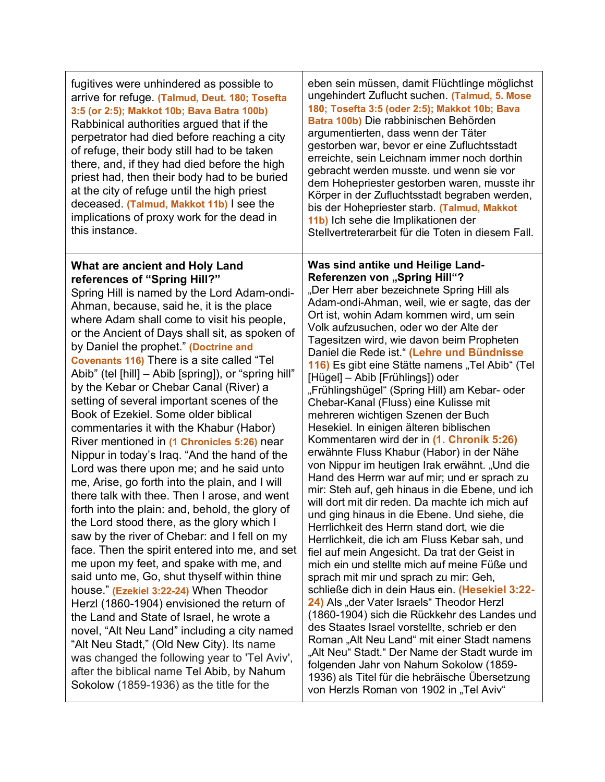| fugitives were unhindered as possible to<br>arrive for refuge. (Talmud, Deut. 180; Tosefta<br>3:5 (or 2:5); Makkot 10b; Bava Batra 100b)<br>Rabbinical authorities argued that if the<br>perpetrator had died before reaching a city<br>of refuge, their body still had to be taken<br>there, and, if they had died before the high<br>priest had, then their body had to be buried<br>at the city of refuge until the high priest<br>deceased. (Talmud, Makkot 11b) I see the<br>implications of proxy work for the dead in<br>this instance.                                                                                                                                                                                                                                                                                                                                                                                                                                                                                                                                                                                                                                                                                                                                                                                                                                                                                                                                                                   | eben sein müssen, damit Flüchtlinge möglichst<br>ungehindert Zuflucht suchen. (Talmud, 5. Mose<br>180; Tosefta 3:5 (oder 2:5); Makkot 10b; Bava<br>Batra 100b) Die rabbinischen Behörden<br>argumentierten, dass wenn der Täter<br>gestorben war, bevor er eine Zufluchtsstadt<br>erreichte, sein Leichnam immer noch dorthin<br>gebracht werden musste. und wenn sie vor<br>dem Hohepriester gestorben waren, musste ihr<br>Körper in der Zufluchtsstadt begraben werden,<br>bis der Hohepriester starb. (Talmud, Makkot<br>11b) Ich sehe die Implikationen der<br>Stellvertreterarbeit für die Toten in diesem Fall.                                                                                                                                                                                                                                                                                                                                                                                                                                                                                                                                                                                                                                                                                                                                                                                                                                                                                                                                                                                                                                  |
|------------------------------------------------------------------------------------------------------------------------------------------------------------------------------------------------------------------------------------------------------------------------------------------------------------------------------------------------------------------------------------------------------------------------------------------------------------------------------------------------------------------------------------------------------------------------------------------------------------------------------------------------------------------------------------------------------------------------------------------------------------------------------------------------------------------------------------------------------------------------------------------------------------------------------------------------------------------------------------------------------------------------------------------------------------------------------------------------------------------------------------------------------------------------------------------------------------------------------------------------------------------------------------------------------------------------------------------------------------------------------------------------------------------------------------------------------------------------------------------------------------------|---------------------------------------------------------------------------------------------------------------------------------------------------------------------------------------------------------------------------------------------------------------------------------------------------------------------------------------------------------------------------------------------------------------------------------------------------------------------------------------------------------------------------------------------------------------------------------------------------------------------------------------------------------------------------------------------------------------------------------------------------------------------------------------------------------------------------------------------------------------------------------------------------------------------------------------------------------------------------------------------------------------------------------------------------------------------------------------------------------------------------------------------------------------------------------------------------------------------------------------------------------------------------------------------------------------------------------------------------------------------------------------------------------------------------------------------------------------------------------------------------------------------------------------------------------------------------------------------------------------------------------------------------------|
| What are ancient and Holy Land<br>references of "Spring Hill?"<br>Spring Hill is named by the Lord Adam-ondi-<br>Ahman, because, said he, it is the place<br>where Adam shall come to visit his people,<br>or the Ancient of Days shall sit, as spoken of<br>by Daniel the prophet." (Doctrine and<br><b>Covenants 116)</b> There is a site called "Tel<br>Abib" (tel [hill] – Abib [spring]), or "spring hill"<br>by the Kebar or Chebar Canal (River) a<br>setting of several important scenes of the<br>Book of Ezekiel. Some older biblical<br>commentaries it with the Khabur (Habor)<br>River mentioned in (1 Chronicles 5:26) near<br>Nippur in today's Iraq. "And the hand of the<br>Lord was there upon me; and he said unto<br>me, Arise, go forth into the plain, and I will<br>there talk with thee. Then I arose, and went<br>forth into the plain: and, behold, the glory of<br>the Lord stood there, as the glory which I<br>saw by the river of Chebar: and I fell on my<br>face. Then the spirit entered into me, and set<br>me upon my feet, and spake with me, and<br>said unto me, Go, shut thyself within thine<br>house." (Ezekiel 3:22-24) When Theodor<br>Herzl (1860-1904) envisioned the return of<br>the Land and State of Israel, he wrote a<br>novel, "Alt Neu Land" including a city named<br>"Alt Neu Stadt," (Old New City). Its name<br>was changed the following year to 'Tel Aviv',<br>after the biblical name Tel Abib, by Nahum<br>Sokolow (1859-1936) as the title for the | Was sind antike und Heilige Land-<br>Referenzen von "Spring Hill"?<br>"Der Herr aber bezeichnete Spring Hill als<br>Adam-ondi-Ahman, weil, wie er sagte, das der<br>Ort ist, wohin Adam kommen wird, um sein<br>Volk aufzusuchen, oder wo der Alte der<br>Tagesitzen wird, wie davon beim Propheten<br>Daniel die Rede ist." (Lehre und Bündnisse<br>116) Es gibt eine Stätte namens "Tel Abib" (Tel<br>[Hügel] – Abib [Frühlings]) oder<br>"Frühlingshügel" (Spring Hill) am Kebar- oder<br>Chebar-Kanal (Fluss) eine Kulisse mit<br>mehreren wichtigen Szenen der Buch<br>Hesekiel. In einigen älteren biblischen<br>Kommentaren wird der in (1. Chronik 5:26)<br>erwähnte Fluss Khabur (Habor) in der Nähe<br>von Nippur im heutigen Irak erwähnt. "Und die<br>Hand des Herrn war auf mir; und er sprach zu<br>mir: Steh auf, geh hinaus in die Ebene, und ich<br>will dort mit dir reden. Da machte ich mich auf<br>und ging hinaus in die Ebene. Und siehe, die<br>Herrlichkeit des Herrn stand dort, wie die<br>Herrlichkeit, die ich am Fluss Kebar sah, und<br>fiel auf mein Angesicht. Da trat der Geist in<br>mich ein und stellte mich auf meine Füße und<br>sprach mit mir und sprach zu mir: Geh,<br>schließe dich in dein Haus ein. (Hesekiel 3:22-<br>24) Als "der Vater Israels" Theodor Herzl<br>(1860-1904) sich die Rückkehr des Landes und<br>des Staates Israel vorstellte, schrieb er den<br>Roman "Alt Neu Land" mit einer Stadt namens<br>"Alt Neu" Stadt." Der Name der Stadt wurde im<br>folgenden Jahr von Nahum Sokolow (1859-<br>1936) als Titel für die hebräische Übersetzung<br>von Herzls Roman von 1902 in "Tel Aviv" |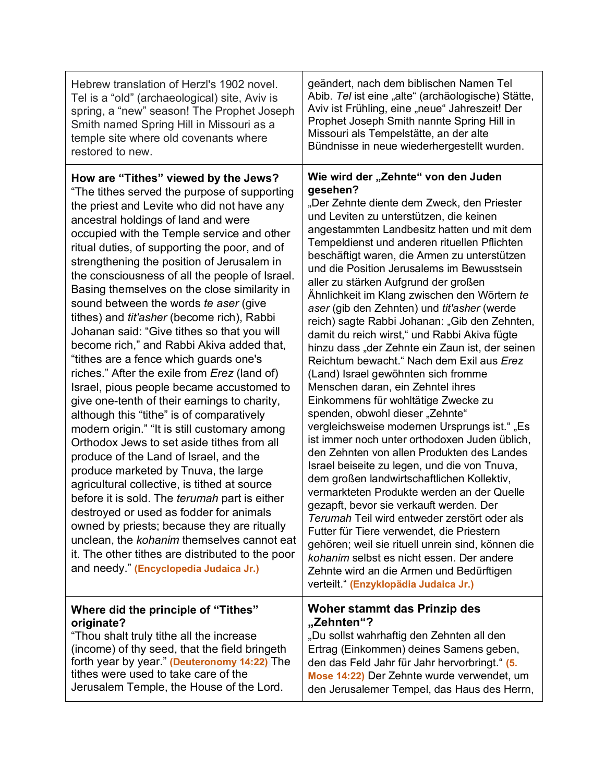| Hebrew translation of Herzl's 1902 novel.                                                                                                                                                                                                                                                                                                                                                                                                                                                                                                                                                                                                                                                                                                                                                                                                                                                                                                                                                                                                                                                                                                                                                                                                                                                                                                                                            | geändert, nach dem biblischen Namen Tel                                                                                                                                                                                                                                                                                                                                                                                                                                                                                                                                                                                                                                                                                                                                                                                                                                                                                                                                                                                                                                                                                                                                                                                                                                                                                                                                                                                                                             |
|--------------------------------------------------------------------------------------------------------------------------------------------------------------------------------------------------------------------------------------------------------------------------------------------------------------------------------------------------------------------------------------------------------------------------------------------------------------------------------------------------------------------------------------------------------------------------------------------------------------------------------------------------------------------------------------------------------------------------------------------------------------------------------------------------------------------------------------------------------------------------------------------------------------------------------------------------------------------------------------------------------------------------------------------------------------------------------------------------------------------------------------------------------------------------------------------------------------------------------------------------------------------------------------------------------------------------------------------------------------------------------------|---------------------------------------------------------------------------------------------------------------------------------------------------------------------------------------------------------------------------------------------------------------------------------------------------------------------------------------------------------------------------------------------------------------------------------------------------------------------------------------------------------------------------------------------------------------------------------------------------------------------------------------------------------------------------------------------------------------------------------------------------------------------------------------------------------------------------------------------------------------------------------------------------------------------------------------------------------------------------------------------------------------------------------------------------------------------------------------------------------------------------------------------------------------------------------------------------------------------------------------------------------------------------------------------------------------------------------------------------------------------------------------------------------------------------------------------------------------------|
| Tel is a "old" (archaeological) site, Aviv is                                                                                                                                                                                                                                                                                                                                                                                                                                                                                                                                                                                                                                                                                                                                                                                                                                                                                                                                                                                                                                                                                                                                                                                                                                                                                                                                        | Abib. Tel ist eine "alte" (archäologische) Stätte,                                                                                                                                                                                                                                                                                                                                                                                                                                                                                                                                                                                                                                                                                                                                                                                                                                                                                                                                                                                                                                                                                                                                                                                                                                                                                                                                                                                                                  |
| spring, a "new" season! The Prophet Joseph                                                                                                                                                                                                                                                                                                                                                                                                                                                                                                                                                                                                                                                                                                                                                                                                                                                                                                                                                                                                                                                                                                                                                                                                                                                                                                                                           | Aviv ist Frühling, eine "neue" Jahreszeit! Der                                                                                                                                                                                                                                                                                                                                                                                                                                                                                                                                                                                                                                                                                                                                                                                                                                                                                                                                                                                                                                                                                                                                                                                                                                                                                                                                                                                                                      |
| Smith named Spring Hill in Missouri as a                                                                                                                                                                                                                                                                                                                                                                                                                                                                                                                                                                                                                                                                                                                                                                                                                                                                                                                                                                                                                                                                                                                                                                                                                                                                                                                                             | Prophet Joseph Smith nannte Spring Hill in                                                                                                                                                                                                                                                                                                                                                                                                                                                                                                                                                                                                                                                                                                                                                                                                                                                                                                                                                                                                                                                                                                                                                                                                                                                                                                                                                                                                                          |
| temple site where old covenants where                                                                                                                                                                                                                                                                                                                                                                                                                                                                                                                                                                                                                                                                                                                                                                                                                                                                                                                                                                                                                                                                                                                                                                                                                                                                                                                                                | Missouri als Tempelstätte, an der alte                                                                                                                                                                                                                                                                                                                                                                                                                                                                                                                                                                                                                                                                                                                                                                                                                                                                                                                                                                                                                                                                                                                                                                                                                                                                                                                                                                                                                              |
| restored to new.                                                                                                                                                                                                                                                                                                                                                                                                                                                                                                                                                                                                                                                                                                                                                                                                                                                                                                                                                                                                                                                                                                                                                                                                                                                                                                                                                                     | Bündnisse in neue wiederhergestellt wurden.                                                                                                                                                                                                                                                                                                                                                                                                                                                                                                                                                                                                                                                                                                                                                                                                                                                                                                                                                                                                                                                                                                                                                                                                                                                                                                                                                                                                                         |
| How are "Tithes" viewed by the Jews?<br>"The tithes served the purpose of supporting<br>the priest and Levite who did not have any<br>ancestral holdings of land and were<br>occupied with the Temple service and other<br>ritual duties, of supporting the poor, and of<br>strengthening the position of Jerusalem in<br>the consciousness of all the people of Israel.<br>Basing themselves on the close similarity in<br>sound between the words te aser (give<br>tithes) and <i>tit'asher</i> (become rich), Rabbi<br>Johanan said: "Give tithes so that you will<br>become rich," and Rabbi Akiva added that,<br>"tithes are a fence which guards one's<br>riches." After the exile from Erez (land of)<br>Israel, pious people became accustomed to<br>give one-tenth of their earnings to charity,<br>although this "tithe" is of comparatively<br>modern origin." "It is still customary among<br>Orthodox Jews to set aside tithes from all<br>produce of the Land of Israel, and the<br>produce marketed by Tnuva, the large<br>agricultural collective, is tithed at source<br>before it is sold. The <i>terumah</i> part is either<br>destroyed or used as fodder for animals<br>owned by priests; because they are ritually<br>unclean, the kohanim themselves cannot eat<br>it. The other tithes are distributed to the poor<br>and needy." (Encyclopedia Judaica Jr.) | Wie wird der "Zehnte" von den Juden<br>gesehen?<br>"Der Zehnte diente dem Zweck, den Priester<br>und Leviten zu unterstützen, die keinen<br>angestammten Landbesitz hatten und mit dem<br>Tempeldienst und anderen rituellen Pflichten<br>beschäftigt waren, die Armen zu unterstützen<br>und die Position Jerusalems im Bewusstsein<br>aller zu stärken Aufgrund der großen<br>Ähnlichkeit im Klang zwischen den Wörtern te<br>aser (gib den Zehnten) und tit'asher (werde<br>reich) sagte Rabbi Johanan: "Gib den Zehnten,<br>damit du reich wirst," und Rabbi Akiva fügte<br>hinzu dass "der Zehnte ein Zaun ist, der seinen<br>Reichtum bewacht." Nach dem Exil aus Erez<br>(Land) Israel gewöhnten sich fromme<br>Menschen daran, ein Zehntel ihres<br>Einkommens für wohltätige Zwecke zu<br>spenden, obwohl dieser "Zehnte"<br>vergleichsweise modernen Ursprungs ist." "Es<br>ist immer noch unter orthodoxen Juden üblich,<br>den Zehnten von allen Produkten des Landes<br>Israel beiseite zu legen, und die von Tnuva,<br>dem großen landwirtschaftlichen Kollektiv,<br>vermarkteten Produkte werden an der Quelle<br>gezapft, bevor sie verkauft werden. Der<br><i>Terumah</i> Teil wird entweder zerstört oder als<br>Futter für Tiere verwendet, die Priestern<br>gehören; weil sie rituell unrein sind, können die<br>kohanim selbst es nicht essen. Der andere<br>Zehnte wird an die Armen und Bedürftigen<br>verteilt." (Enzyklopädia Judaica Jr.) |
| Where did the principle of "Tithes"                                                                                                                                                                                                                                                                                                                                                                                                                                                                                                                                                                                                                                                                                                                                                                                                                                                                                                                                                                                                                                                                                                                                                                                                                                                                                                                                                  | Woher stammt das Prinzip des                                                                                                                                                                                                                                                                                                                                                                                                                                                                                                                                                                                                                                                                                                                                                                                                                                                                                                                                                                                                                                                                                                                                                                                                                                                                                                                                                                                                                                        |
| originate?                                                                                                                                                                                                                                                                                                                                                                                                                                                                                                                                                                                                                                                                                                                                                                                                                                                                                                                                                                                                                                                                                                                                                                                                                                                                                                                                                                           | "Zehnten"?                                                                                                                                                                                                                                                                                                                                                                                                                                                                                                                                                                                                                                                                                                                                                                                                                                                                                                                                                                                                                                                                                                                                                                                                                                                                                                                                                                                                                                                          |
| "Thou shalt truly tithe all the increase                                                                                                                                                                                                                                                                                                                                                                                                                                                                                                                                                                                                                                                                                                                                                                                                                                                                                                                                                                                                                                                                                                                                                                                                                                                                                                                                             | "Du sollst wahrhaftig den Zehnten all den                                                                                                                                                                                                                                                                                                                                                                                                                                                                                                                                                                                                                                                                                                                                                                                                                                                                                                                                                                                                                                                                                                                                                                                                                                                                                                                                                                                                                           |
| (income) of thy seed, that the field bringeth                                                                                                                                                                                                                                                                                                                                                                                                                                                                                                                                                                                                                                                                                                                                                                                                                                                                                                                                                                                                                                                                                                                                                                                                                                                                                                                                        | Ertrag (Einkommen) deines Samens geben,                                                                                                                                                                                                                                                                                                                                                                                                                                                                                                                                                                                                                                                                                                                                                                                                                                                                                                                                                                                                                                                                                                                                                                                                                                                                                                                                                                                                                             |
| forth year by year." (Deuteronomy 14:22) The                                                                                                                                                                                                                                                                                                                                                                                                                                                                                                                                                                                                                                                                                                                                                                                                                                                                                                                                                                                                                                                                                                                                                                                                                                                                                                                                         | den das Feld Jahr für Jahr hervorbringt." (5.                                                                                                                                                                                                                                                                                                                                                                                                                                                                                                                                                                                                                                                                                                                                                                                                                                                                                                                                                                                                                                                                                                                                                                                                                                                                                                                                                                                                                       |
| tithes were used to take care of the                                                                                                                                                                                                                                                                                                                                                                                                                                                                                                                                                                                                                                                                                                                                                                                                                                                                                                                                                                                                                                                                                                                                                                                                                                                                                                                                                 | Mose 14:22) Der Zehnte wurde verwendet, um                                                                                                                                                                                                                                                                                                                                                                                                                                                                                                                                                                                                                                                                                                                                                                                                                                                                                                                                                                                                                                                                                                                                                                                                                                                                                                                                                                                                                          |
| Jerusalem Temple, the House of the Lord.                                                                                                                                                                                                                                                                                                                                                                                                                                                                                                                                                                                                                                                                                                                                                                                                                                                                                                                                                                                                                                                                                                                                                                                                                                                                                                                                             | den Jerusalemer Tempel, das Haus des Herrn,                                                                                                                                                                                                                                                                                                                                                                                                                                                                                                                                                                                                                                                                                                                                                                                                                                                                                                                                                                                                                                                                                                                                                                                                                                                                                                                                                                                                                         |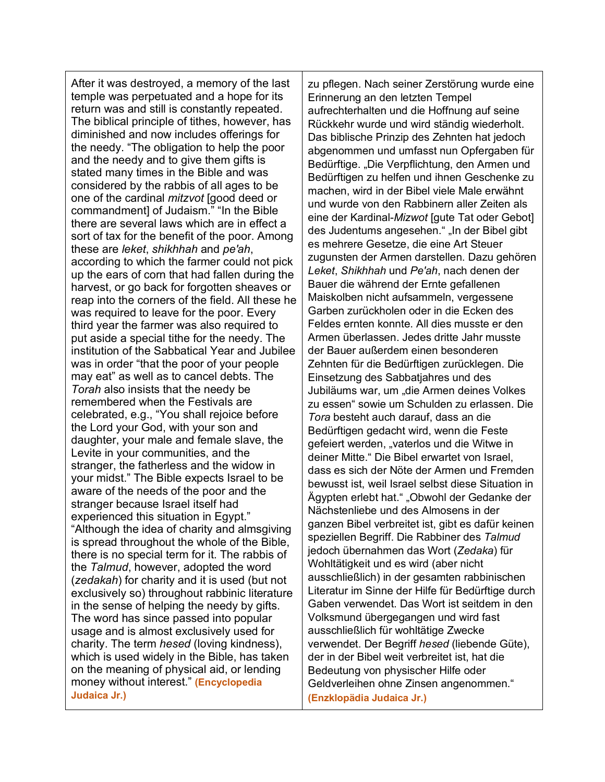After it was destroyed, a memory of the last temple was perpetuated and a hope for its return was and still is constantly repeated. The biblical principle of tithes, however, has diminished and now includes offerings for the needy. "The obligation to help the poor and the needy and to give them gifts is stated many times in the Bible and was considered by the rabbis of all ages to be one of the cardinal *mitzvot* [good deed or commandment] of Judaism." "In the Bible there are several laws which are in effect a sort of tax for the benefit of the poor. Among these are *leket*, *shikhhah* and *pe'ah*, according to which the farmer could not pick up the ears of corn that had fallen during the harvest, or go back for forgotten sheaves or reap into the corners of the field. All these he was required to leave for the poor. Every third year the farmer was also required to put aside a special tithe for the needy. The institution of the Sabbatical Year and Jubilee was in order "that the poor of your people may eat" as well as to cancel debts. The *Torah* also insists that the needy be remembered when the Festivals are celebrated, e.g., "You shall rejoice before the Lord your God, with your son and daughter, your male and female slave, the Levite in your communities, and the stranger, the fatherless and the widow in your midst." The Bible expects Israel to be aware of the needs of the poor and the stranger because Israel itself had experienced this situation in Egypt." "Although the idea of charity and almsgiving is spread throughout the whole of the Bible, there is no special term for it. The rabbis of the *Talmud*, however, adopted the word (*zedakah*) for charity and it is used (but not exclusively so) throughout rabbinic literature in the sense of helping the needy by gifts. The word has since passed into popular usage and is almost exclusively used for charity. The term *hesed* (loving kindness), which is used widely in the Bible, has taken on the meaning of physical aid, or lending money without interest." **(Encyclopedia Judaica Jr.)**

zu pflegen. Nach seiner Zerstörung wurde eine Erinnerung an den letzten Tempel aufrechterhalten und die Hoffnung auf seine Rückkehr wurde und wird ständig wiederholt. Das biblische Prinzip des Zehnten hat jedoch abgenommen und umfasst nun Opfergaben für Bedürftige. "Die Verpflichtung, den Armen und Bedürftigen zu helfen und ihnen Geschenke zu machen, wird in der Bibel viele Male erwähnt und wurde von den Rabbinern aller Zeiten als eine der Kardinal-*Mizwot* [gute Tat oder Gebot] des Judentums angesehen." "In der Bibel gibt es mehrere Gesetze, die eine Art Steuer zugunsten der Armen darstellen. Dazu gehören *Leket*, *Shikhhah* und *Pe'ah*, nach denen der Bauer die während der Ernte gefallenen Maiskolben nicht aufsammeln, vergessene Garben zurückholen oder in die Ecken des Feldes ernten konnte. All dies musste er den Armen überlassen. Jedes dritte Jahr musste der Bauer außerdem einen besonderen Zehnten für die Bedürftigen zurücklegen. Die Einsetzung des Sabbatjahres und des Jubiläums war, um "die Armen deines Volkes zu essen" sowie um Schulden zu erlassen. Die *Tora* besteht auch darauf, dass an die Bedürftigen gedacht wird, wenn die Feste gefeiert werden, "vaterlos und die Witwe in deiner Mitte." Die Bibel erwartet von Israel, dass es sich der Nöte der Armen und Fremden bewusst ist, weil Israel selbst diese Situation in Ägypten erlebt hat." "Obwohl der Gedanke der Nächstenliebe und des Almosens in der ganzen Bibel verbreitet ist, gibt es dafür keinen speziellen Begriff. Die Rabbiner des *Talmud* jedoch übernahmen das Wort (*Zedaka*) für Wohltätigkeit und es wird (aber nicht ausschließlich) in der gesamten rabbinischen Literatur im Sinne der Hilfe für Bedürftige durch Gaben verwendet. Das Wort ist seitdem in den Volksmund übergegangen und wird fast ausschließlich für wohltätige Zwecke verwendet. Der Begriff *hesed* (liebende Güte), der in der Bibel weit verbreitet ist, hat die Bedeutung von physischer Hilfe oder Geldverleihen ohne Zinsen angenommen." **(Enzklopädia Judaica Jr.)**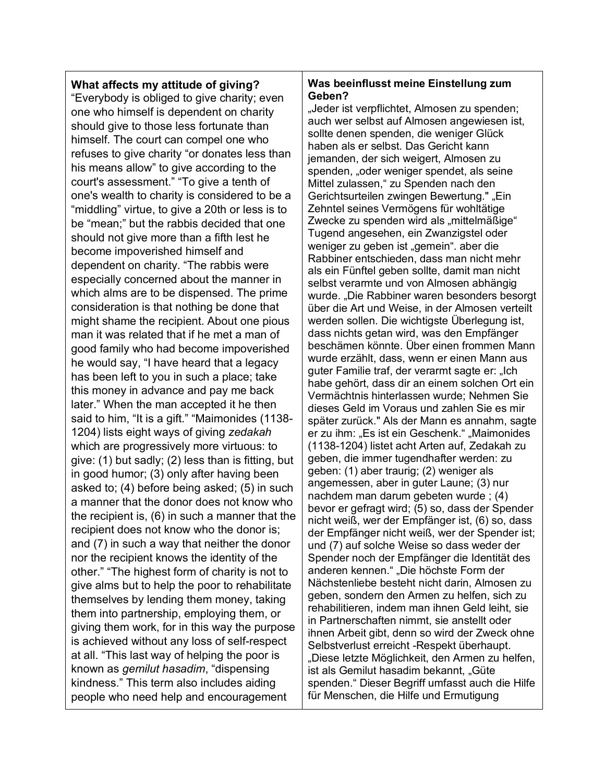## **What affects my attitude of giving?**

"Everybody is obliged to give charity; even one who himself is dependent on charity should give to those less fortunate than himself. The court can compel one who refuses to give charity "or donates less than his means allow" to give according to the court's assessment." "To give a tenth of one's wealth to charity is considered to be a "middling" virtue, to give a 20th or less is to be "mean;" but the rabbis decided that one should not give more than a fifth lest he become impoverished himself and dependent on charity. "The rabbis were especially concerned about the manner in which alms are to be dispensed. The prime consideration is that nothing be done that might shame the recipient. About one pious man it was related that if he met a man of good family who had become impoverished he would say, "I have heard that a legacy has been left to you in such a place; take this money in advance and pay me back later." When the man accepted it he then said to him, "It is a gift." "Maimonides (1138- 1204) lists eight ways of giving *zedakah* which are progressively more virtuous: to give: (1) but sadly; (2) less than is fitting, but in good humor; (3) only after having been asked to; (4) before being asked; (5) in such a manner that the donor does not know who the recipient is, (6) in such a manner that the recipient does not know who the donor is; and (7) in such a way that neither the donor nor the recipient knows the identity of the other." "The highest form of charity is not to give alms but to help the poor to rehabilitate themselves by lending them money, taking them into partnership, employing them, or giving them work, for in this way the purpose is achieved without any loss of self-respect at all. "This last way of helping the poor is known as *gemilut hasadim*, "dispensing kindness." This term also includes aiding people who need help and encouragement

### **Was beeinflusst meine Einstellung zum Geben?**

"Jeder ist verpflichtet, Almosen zu spenden; auch wer selbst auf Almosen angewiesen ist, sollte denen spenden, die weniger Glück haben als er selbst. Das Gericht kann jemanden, der sich weigert, Almosen zu spenden, "oder weniger spendet, als seine Mittel zulassen," zu Spenden nach den Gerichtsurteilen zwingen Bewertung." "Ein Zehntel seines Vermögens für wohltätige Zwecke zu spenden wird als "mittelmäßige" Tugend angesehen, ein Zwanzigstel oder weniger zu geben ist "gemein". aber die Rabbiner entschieden, dass man nicht mehr als ein Fünftel geben sollte, damit man nicht selbst verarmte und von Almosen abhängig wurde. "Die Rabbiner waren besonders besorgt über die Art und Weise, in der Almosen verteilt werden sollen. Die wichtigste Überlegung ist, dass nichts getan wird, was den Empfänger beschämen könnte. Über einen frommen Mann wurde erzählt, dass, wenn er einen Mann aus guter Familie traf, der verarmt sagte er: "Ich habe gehört, dass dir an einem solchen Ort ein Vermächtnis hinterlassen wurde; Nehmen Sie dieses Geld im Voraus und zahlen Sie es mir später zurück." Als der Mann es annahm, sagte er zu ihm: "Es ist ein Geschenk." "Maimonides (1138-1204) listet acht Arten auf, Zedakah zu geben, die immer tugendhafter werden: zu geben: (1) aber traurig; (2) weniger als angemessen, aber in guter Laune; (3) nur nachdem man darum gebeten wurde ; (4) bevor er gefragt wird; (5) so, dass der Spender nicht weiß, wer der Empfänger ist, (6) so, dass der Empfänger nicht weiß, wer der Spender ist; und (7) auf solche Weise so dass weder der Spender noch der Empfänger die Identität des anderen kennen." "Die höchste Form der Nächstenliebe besteht nicht darin, Almosen zu geben, sondern den Armen zu helfen, sich zu rehabilitieren, indem man ihnen Geld leiht, sie in Partnerschaften nimmt, sie anstellt oder ihnen Arbeit gibt, denn so wird der Zweck ohne Selbstverlust erreicht -Respekt überhaupt. "Diese letzte Möglichkeit, den Armen zu helfen, ist als Gemilut hasadim bekannt, "Güte spenden." Dieser Begriff umfasst auch die Hilfe für Menschen, die Hilfe und Ermutigung